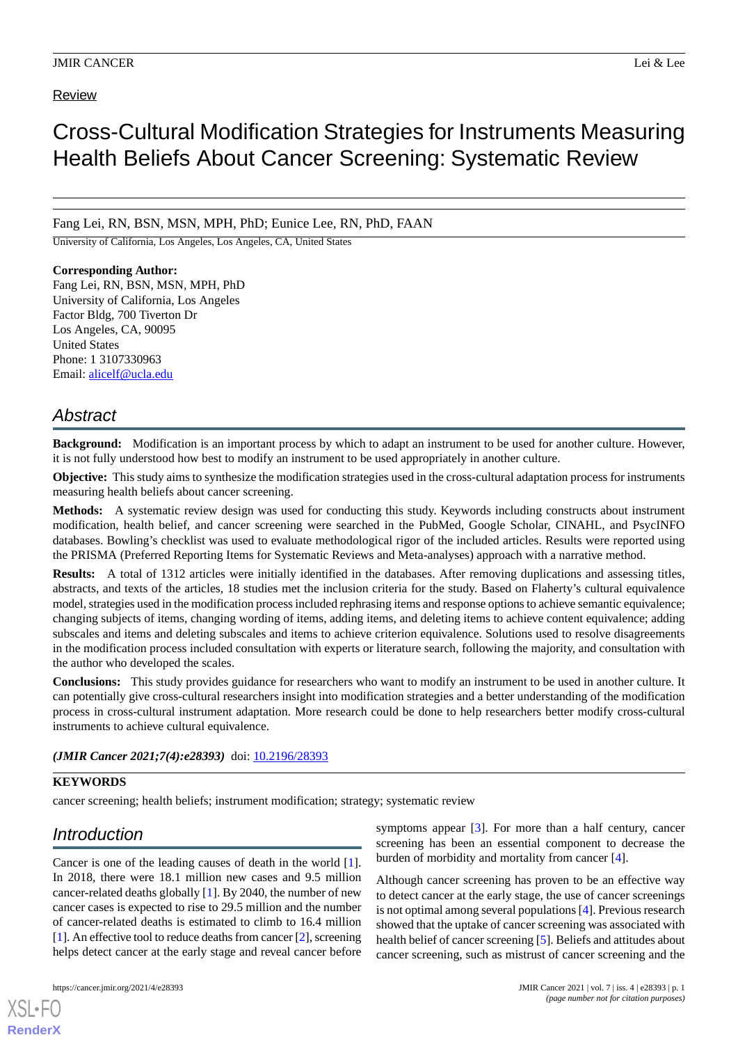# Review

# Cross-Cultural Modification Strategies for Instruments Measuring Health Beliefs About Cancer Screening: Systematic Review

Fang Lei, RN, BSN, MSN, MPH, PhD; Eunice Lee, RN, PhD, FAAN

University of California, Los Angeles, Los Angeles, CA, United States

## **Corresponding Author:**

Fang Lei, RN, BSN, MSN, MPH, PhD University of California, Los Angeles Factor Bldg, 700 Tiverton Dr Los Angeles, CA, 90095 United States Phone: 1 3107330963 Email: [alicelf@ucla.edu](mailto:alicelf@ucla.edu)

# *Abstract*

**Background:** Modification is an important process by which to adapt an instrument to be used for another culture. However, it is not fully understood how best to modify an instrument to be used appropriately in another culture.

**Objective:** This study aims to synthesize the modification strategies used in the cross-cultural adaptation process for instruments measuring health beliefs about cancer screening.

**Methods:** A systematic review design was used for conducting this study. Keywords including constructs about instrument modification, health belief, and cancer screening were searched in the PubMed, Google Scholar, CINAHL, and PsycINFO databases. Bowling's checklist was used to evaluate methodological rigor of the included articles. Results were reported using the PRISMA (Preferred Reporting Items for Systematic Reviews and Meta-analyses) approach with a narrative method.

**Results:** A total of 1312 articles were initially identified in the databases. After removing duplications and assessing titles, abstracts, and texts of the articles, 18 studies met the inclusion criteria for the study. Based on Flaherty's cultural equivalence model, strategies used in the modification process included rephrasing items and response options to achieve semantic equivalence; changing subjects of items, changing wording of items, adding items, and deleting items to achieve content equivalence; adding subscales and items and deleting subscales and items to achieve criterion equivalence. Solutions used to resolve disagreements in the modification process included consultation with experts or literature search, following the majority, and consultation with the author who developed the scales.

**Conclusions:** This study provides guidance for researchers who want to modify an instrument to be used in another culture. It can potentially give cross-cultural researchers insight into modification strategies and a better understanding of the modification process in cross-cultural instrument adaptation. More research could be done to help researchers better modify cross-cultural instruments to achieve cultural equivalence.

# (JMIR Cancer 2021;7(4):e28393) doi: [10.2196/28393](http://dx.doi.org/10.2196/28393)

# **KEYWORDS**

cancer screening; health beliefs; instrument modification; strategy; systematic review

# *Introduction*

Cancer is one of the leading causes of death in the world [[1\]](#page-9-0). In 2018, there were 18.1 million new cases and 9.5 million cancer-related deaths globally [[1\]](#page-9-0). By 2040, the number of new cancer cases is expected to rise to 29.5 million and the number of cancer-related deaths is estimated to climb to 16.4 million [[1\]](#page-9-0). An effective tool to reduce deaths from cancer [[2](#page-9-1)], screening helps detect cancer at the early stage and reveal cancer before

[XSL](http://www.w3.org/Style/XSL)•FO **[RenderX](http://www.renderx.com/)**

symptoms appear  $[3]$  $[3]$ . For more than a half century, cancer screening has been an essential component to decrease the burden of morbidity and mortality from cancer [\[4\]](#page-9-3).

Although cancer screening has proven to be an effective way to detect cancer at the early stage, the use of cancer screenings is not optimal among several populations [\[4](#page-9-3)]. Previous research showed that the uptake of cancer screening was associated with health belief of cancer screening [[5\]](#page-9-4). Beliefs and attitudes about cancer screening, such as mistrust of cancer screening and the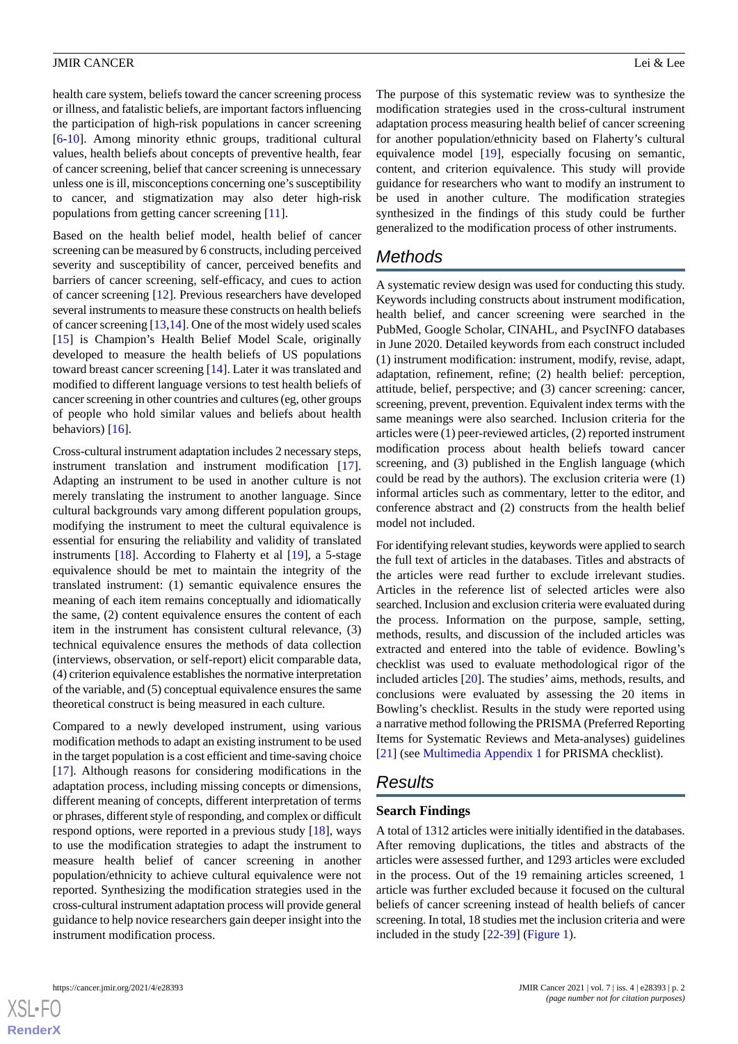health care system, beliefs toward the cancer screening process or illness, and fatalistic beliefs, are important factors influencing the participation of high-risk populations in cancer screening [[6](#page-9-5)[-10](#page-9-6)]. Among minority ethnic groups, traditional cultural values, health beliefs about concepts of preventive health, fear of cancer screening, belief that cancer screening is unnecessary unless one is ill, misconceptions concerning one's susceptibility to cancer, and stigmatization may also deter high-risk populations from getting cancer screening [[11\]](#page-9-7).

Based on the health belief model, health belief of cancer screening can be measured by 6 constructs, including perceived severity and susceptibility of cancer, perceived benefits and barriers of cancer screening, self-efficacy, and cues to action of cancer screening [\[12](#page-9-8)]. Previous researchers have developed several instruments to measure these constructs on health beliefs of cancer screening [\[13](#page-9-9),[14\]](#page-9-10). One of the most widely used scales [[15\]](#page-9-11) is Champion's Health Belief Model Scale, originally developed to measure the health beliefs of US populations toward breast cancer screening [[14\]](#page-9-10). Later it was translated and modified to different language versions to test health beliefs of cancer screening in other countries and cultures (eg, other groups of people who hold similar values and beliefs about health behaviors) [\[16](#page-9-12)].

Cross-cultural instrument adaptation includes 2 necessary steps, instrument translation and instrument modification [[17\]](#page-9-13). Adapting an instrument to be used in another culture is not merely translating the instrument to another language. Since cultural backgrounds vary among different population groups, modifying the instrument to meet the cultural equivalence is essential for ensuring the reliability and validity of translated instruments [\[18](#page-9-14)]. According to Flaherty et al [\[19](#page-9-15)], a 5-stage equivalence should be met to maintain the integrity of the translated instrument: (1) semantic equivalence ensures the meaning of each item remains conceptually and idiomatically the same, (2) content equivalence ensures the content of each item in the instrument has consistent cultural relevance, (3) technical equivalence ensures the methods of data collection (interviews, observation, or self-report) elicit comparable data, (4) criterion equivalence establishes the normative interpretation of the variable, and (5) conceptual equivalence ensures the same theoretical construct is being measured in each culture.

Compared to a newly developed instrument, using various modification methods to adapt an existing instrument to be used in the target population is a cost efficient and time-saving choice [[17\]](#page-9-13). Although reasons for considering modifications in the adaptation process, including missing concepts or dimensions, different meaning of concepts, different interpretation of terms or phrases, different style of responding, and complex or difficult respond options, were reported in a previous study [[18\]](#page-9-14), ways to use the modification strategies to adapt the instrument to measure health belief of cancer screening in another population/ethnicity to achieve cultural equivalence were not reported. Synthesizing the modification strategies used in the cross-cultural instrument adaptation process will provide general guidance to help novice researchers gain deeper insight into the instrument modification process.

The purpose of this systematic review was to synthesize the modification strategies used in the cross-cultural instrument adaptation process measuring health belief of cancer screening for another population/ethnicity based on Flaherty's cultural equivalence model [[19\]](#page-9-15), especially focusing on semantic, content, and criterion equivalence. This study will provide guidance for researchers who want to modify an instrument to be used in another culture. The modification strategies synthesized in the findings of this study could be further generalized to the modification process of other instruments.

# *Methods*

A systematic review design was used for conducting this study. Keywords including constructs about instrument modification, health belief, and cancer screening were searched in the PubMed, Google Scholar, CINAHL, and PsycINFO databases in June 2020. Detailed keywords from each construct included (1) instrument modification: instrument, modify, revise, adapt, adaptation, refinement, refine; (2) health belief: perception, attitude, belief, perspective; and (3) cancer screening: cancer, screening, prevent, prevention. Equivalent index terms with the same meanings were also searched. Inclusion criteria for the articles were (1) peer-reviewed articles, (2) reported instrument modification process about health beliefs toward cancer screening, and (3) published in the English language (which could be read by the authors). The exclusion criteria were (1) informal articles such as commentary, letter to the editor, and conference abstract and (2) constructs from the health belief model not included.

For identifying relevant studies, keywords were applied to search the full text of articles in the databases. Titles and abstracts of the articles were read further to exclude irrelevant studies. Articles in the reference list of selected articles were also searched. Inclusion and exclusion criteria were evaluated during the process. Information on the purpose, sample, setting, methods, results, and discussion of the included articles was extracted and entered into the table of evidence. Bowling's checklist was used to evaluate methodological rigor of the included articles [\[20](#page-9-16)]. The studies' aims, methods, results, and conclusions were evaluated by assessing the 20 items in Bowling's checklist. Results in the study were reported using a narrative method following the PRISMA (Preferred Reporting Items for Systematic Reviews and Meta-analyses) guidelines [[21\]](#page-9-17) (see [Multimedia Appendix 1](#page-8-0) for PRISMA checklist).

# *Results*

# **Search Findings**

A total of 1312 articles were initially identified in the databases. After removing duplications, the titles and abstracts of the articles were assessed further, and 1293 articles were excluded in the process. Out of the 19 remaining articles screened, 1 article was further excluded because it focused on the cultural beliefs of cancer screening instead of health beliefs of cancer screening. In total, 18 studies met the inclusion criteria and were included in the study [\[22](#page-9-18)[-39](#page-10-0)] ([Figure 1](#page-2-0)).

**[RenderX](http://www.renderx.com/)**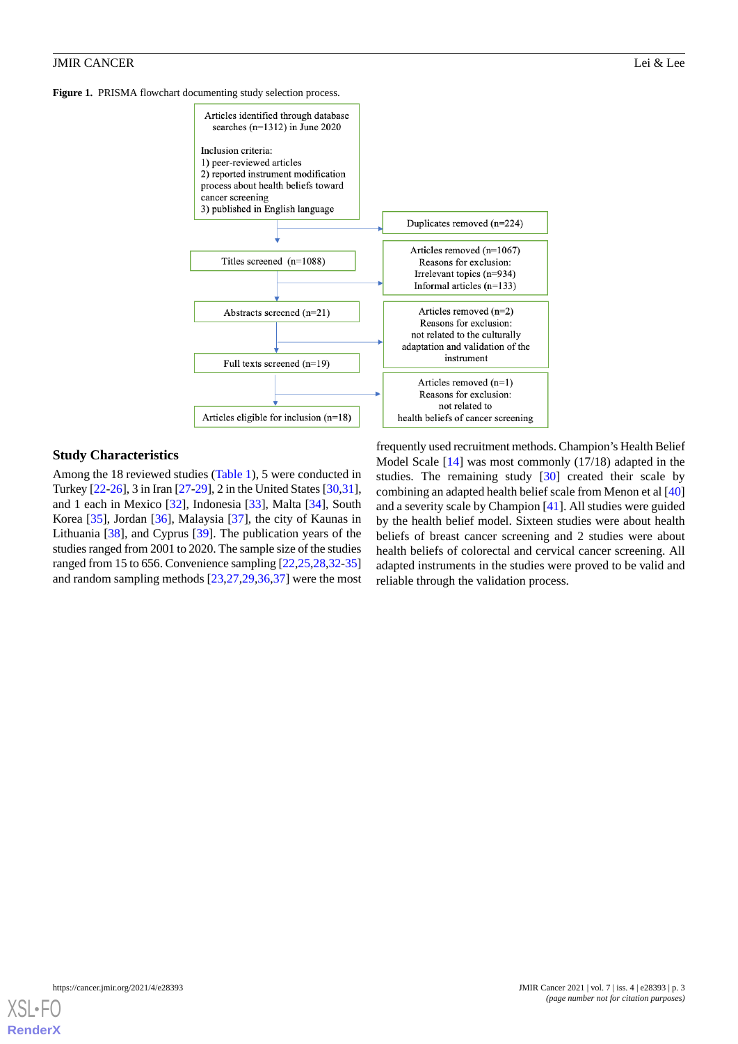<span id="page-2-0"></span>



# **Study Characteristics**

Among the 18 reviewed studies ([Table 1](#page-3-0)), 5 were conducted in Turkey [[22-](#page-9-18)[26\]](#page-10-1), 3 in Iran [\[27](#page-10-2)-[29](#page-10-3)], 2 in the United States [[30,](#page-10-4)[31\]](#page-10-5), and 1 each in Mexico [[32\]](#page-10-6), Indonesia [[33\]](#page-10-7), Malta [\[34](#page-10-8)], South Korea [\[35](#page-10-9)], Jordan [\[36](#page-10-10)], Malaysia [\[37](#page-10-11)], the city of Kaunas in Lithuania [\[38](#page-10-12)], and Cyprus [[39\]](#page-10-0). The publication years of the studies ranged from 2001 to 2020. The sample size of the studies ranged from 15 to 656. Convenience sampling [\[22](#page-9-18)[,25](#page-9-19),[28,](#page-10-13)[32](#page-10-6)[-35](#page-10-9)] and random sampling methods [\[23](#page-9-20),[27](#page-10-2)[,29](#page-10-3),[36](#page-10-10)[,37](#page-10-11)] were the most

frequently used recruitment methods. Champion's Health Belief Model Scale [[14\]](#page-9-10) was most commonly (17/18) adapted in the studies. The remaining study [[30\]](#page-10-4) created their scale by combining an adapted health belief scale from Menon et al [\[40](#page-10-14)] and a severity scale by Champion [\[41](#page-10-15)]. All studies were guided by the health belief model. Sixteen studies were about health beliefs of breast cancer screening and 2 studies were about health beliefs of colorectal and cervical cancer screening. All adapted instruments in the studies were proved to be valid and reliable through the validation process.

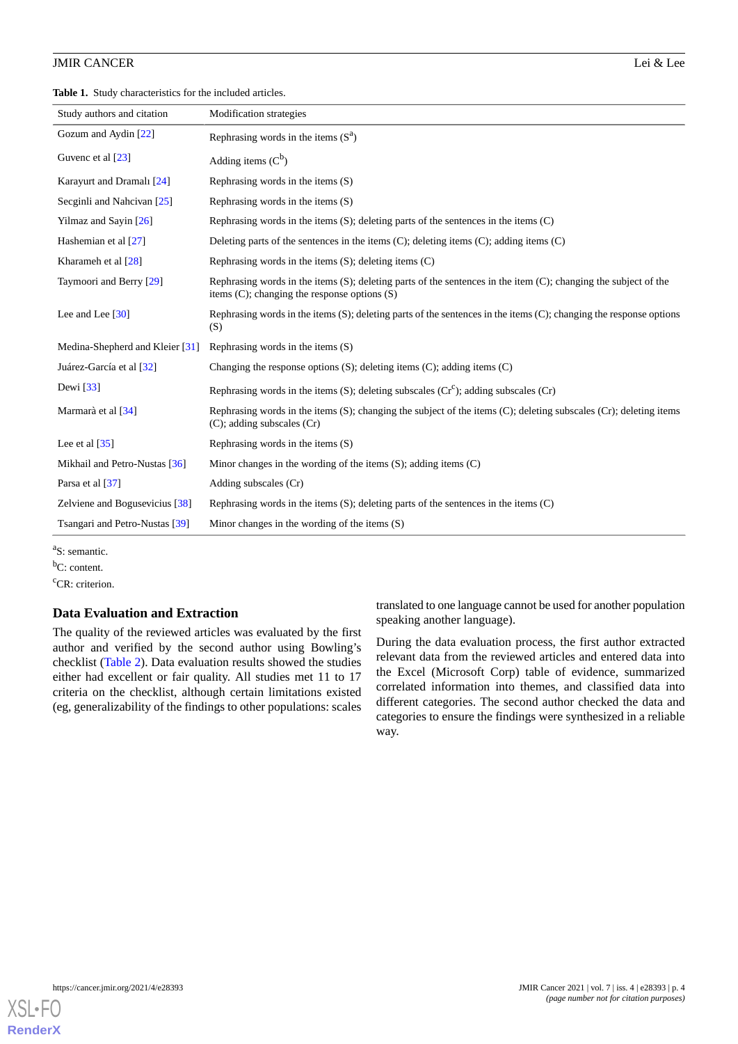<span id="page-3-0"></span>**Table 1.** Study characteristics for the included articles.

| Study authors and citation      | Modification strategies                                                                                                                                                    |
|---------------------------------|----------------------------------------------------------------------------------------------------------------------------------------------------------------------------|
| Gozum and Aydin [22]            | Rephrasing words in the items $(S^a)$                                                                                                                                      |
| Guvenc et al [23]               | Adding items $(C^b)$                                                                                                                                                       |
| Karayurt and Dramalı [24]       | Rephrasing words in the items $(S)$                                                                                                                                        |
| Secginli and Nahcivan [25]      | Rephrasing words in the items $(S)$                                                                                                                                        |
| Yilmaz and Sayin [26]           | Rephrasing words in the items $(S)$ ; deleting parts of the sentences in the items $(C)$                                                                                   |
| Hashemian et al [27]            | Deleting parts of the sentences in the items $(C)$ ; deleting items $(C)$ ; adding items $(C)$                                                                             |
| Kharameh et al [28]             | Rephrasing words in the items $(S)$ ; deleting items $(C)$                                                                                                                 |
| Taymoori and Berry [29]         | Rephrasing words in the items $(S)$ ; deleting parts of the sentences in the item $(C)$ ; changing the subject of the<br>items $(C)$ ; changing the response options $(S)$ |
| Lee and Lee $[30]$              | Rephrasing words in the items (S); deleting parts of the sentences in the items (C); changing the response options<br>(S)                                                  |
| Medina-Shepherd and Kleier [31] | Rephrasing words in the items $(S)$                                                                                                                                        |
| Juárez-García et al [32]        | Changing the response options $(S)$ ; deleting items $(C)$ ; adding items $(C)$                                                                                            |
| Dewi $\left[33\right]$          | Rephrasing words in the items (S); deleting subscales $(Cr^c)$ ; adding subscales (Cr)                                                                                     |
| Marmarà et al [34]              | Rephrasing words in the items $(S)$ ; changing the subject of the items $(C)$ ; deleting subscales $(Cr)$ ; deleting items<br>$(C)$ ; adding subscales $(Cr)$              |
| Lee et al $\lceil 35 \rceil$    | Rephrasing words in the items $(S)$                                                                                                                                        |
| Mikhail and Petro-Nustas [36]   | Minor changes in the wording of the items $(S)$ ; adding items $(C)$                                                                                                       |
| Parsa et al [37]                | Adding subscales (Cr)                                                                                                                                                      |
| Zelviene and Bogusevicius [38]  | Rephrasing words in the items $(S)$ ; deleting parts of the sentences in the items $(C)$                                                                                   |
| Tsangari and Petro-Nustas [39]  | Minor changes in the wording of the items $(S)$                                                                                                                            |

<sup>a</sup>S: semantic.

<sup>b</sup>C: content.

<sup>c</sup>CR: criterion.

#### **Data Evaluation and Extraction**

The quality of the reviewed articles was evaluated by the first author and verified by the second author using Bowling's checklist [\(Table 2\)](#page-4-0). Data evaluation results showed the studies either had excellent or fair quality. All studies met 11 to 17 criteria on the checklist, although certain limitations existed (eg, generalizability of the findings to other populations: scales

translated to one language cannot be used for another population speaking another language).

During the data evaluation process, the first author extracted relevant data from the reviewed articles and entered data into the Excel (Microsoft Corp) table of evidence, summarized correlated information into themes, and classified data into different categories. The second author checked the data and categories to ensure the findings were synthesized in a reliable way.

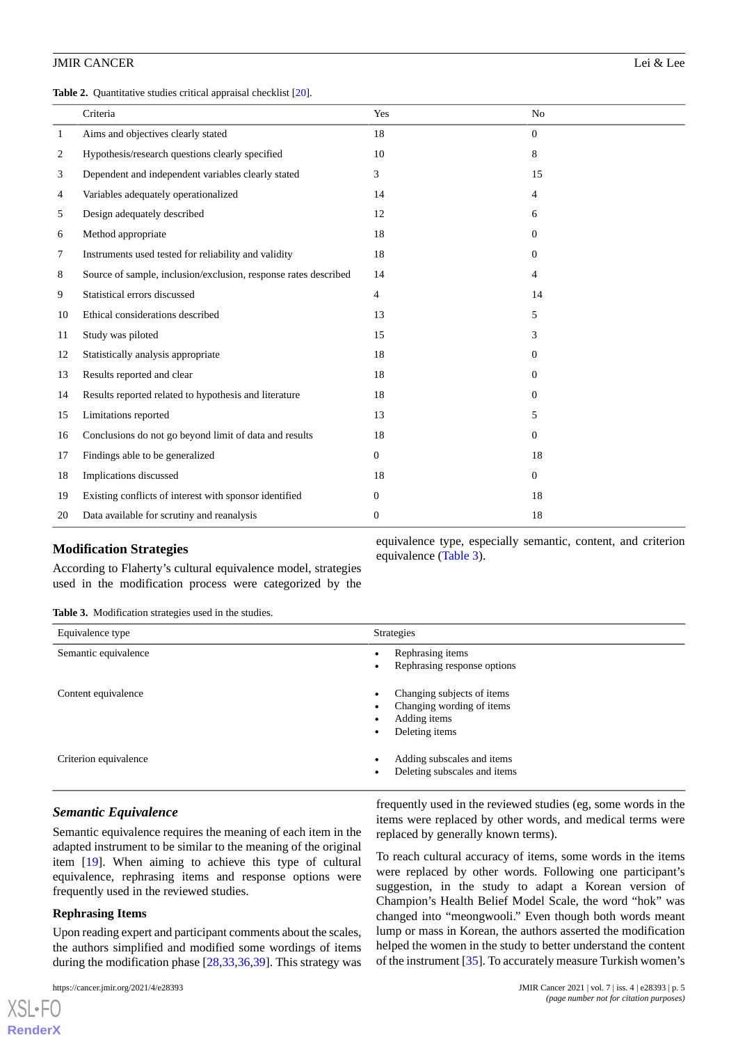<span id="page-4-0"></span>**Table 2.** Quantitative studies critical appraisal checklist [\[20](#page-9-16)].

|                | Criteria                                                        | Yes            | N <sub>o</sub> |
|----------------|-----------------------------------------------------------------|----------------|----------------|
| $\mathbf{1}$   | Aims and objectives clearly stated                              | 18             | $\overline{0}$ |
| $\overline{c}$ | Hypothesis/research questions clearly specified                 | 10             | 8              |
| 3              | Dependent and independent variables clearly stated              | 3              | 15             |
| 4              | Variables adequately operationalized                            | 14             | 4              |
| 5              | Design adequately described                                     | 12             | 6              |
| 6              | Method appropriate                                              | 18             | $\overline{0}$ |
| 7              | Instruments used tested for reliability and validity            | 18             | $\overline{0}$ |
| 8              | Source of sample, inclusion/exclusion, response rates described | 14             | 4              |
| 9              | Statistical errors discussed                                    | $\overline{4}$ | 14             |
| 10             | Ethical considerations described                                | 13             | 5              |
| 11             | Study was piloted                                               | 15             | 3              |
| 12             | Statistically analysis appropriate                              | 18             | $\overline{0}$ |
| 13             | Results reported and clear                                      | 18             | $\theta$       |
| 14             | Results reported related to hypothesis and literature           | 18             | $\Omega$       |
| 15             | Limitations reported                                            | 13             | 5              |
| 16             | Conclusions do not go beyond limit of data and results          | 18             | $\overline{0}$ |
| 17             | Findings able to be generalized                                 | $\mathbf{0}$   | 18             |
| 18             | Implications discussed                                          | 18             | $\overline{0}$ |
| 19             | Existing conflicts of interest with sponsor identified          | $\Omega$       | 18             |
| 20             | Data available for scrutiny and reanalysis                      | $\mathbf{0}$   | 18             |

## <span id="page-4-1"></span>**Modification Strategies**

According to Flaherty's cultural equivalence model, strategies used in the modification process were categorized by the

equivalence type, especially semantic, content, and criterion equivalence ([Table 3](#page-4-1)).

**Table 3.** Modification strategies used in the studies.

| Equivalence type      | Strategies                                                                                     |
|-----------------------|------------------------------------------------------------------------------------------------|
| Semantic equivalence  | Rephrasing items<br>Rephrasing response options                                                |
| Content equivalence   | Changing subjects of items<br>٠<br>Changing wording of items<br>Adding items<br>Deleting items |
| Criterion equivalence | Adding subscales and items<br>Deleting subscales and items                                     |

# *Semantic Equivalence*

Semantic equivalence requires the meaning of each item in the adapted instrument to be similar to the meaning of the original item [\[19](#page-9-15)]. When aiming to achieve this type of cultural equivalence, rephrasing items and response options were frequently used in the reviewed studies.

#### **Rephrasing Items**

 $X$ SL•F $O$ **[RenderX](http://www.renderx.com/)**

Upon reading expert and participant comments about the scales, the authors simplified and modified some wordings of items during the modification phase [[28](#page-10-13)[,33](#page-10-7),[36](#page-10-10)[,39](#page-10-0)]. This strategy was

frequently used in the reviewed studies (eg, some words in the items were replaced by other words, and medical terms were replaced by generally known terms).

To reach cultural accuracy of items, some words in the items were replaced by other words. Following one participant's suggestion, in the study to adapt a Korean version of Champion's Health Belief Model Scale, the word "hok" was changed into "meongwooli." Even though both words meant lump or mass in Korean, the authors asserted the modification helped the women in the study to better understand the content of the instrument [\[35](#page-10-9)]. To accurately measure Turkish women's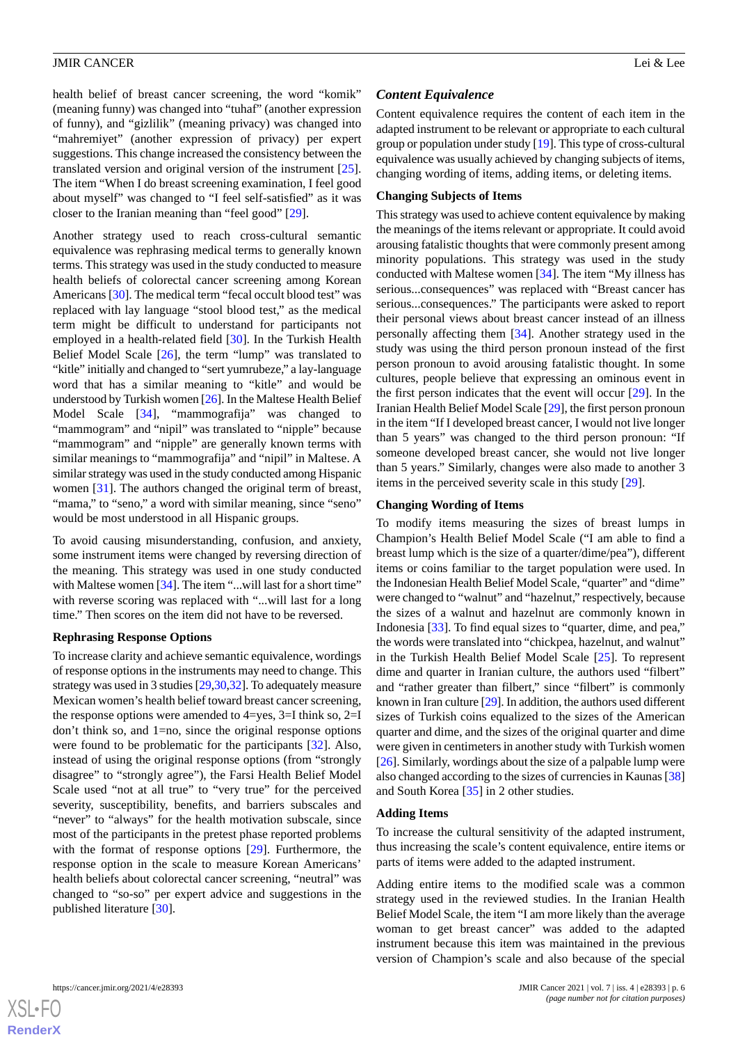health belief of breast cancer screening, the word "komik" (meaning funny) was changed into "tuhaf" (another expression of funny), and "gizlilik" (meaning privacy) was changed into "mahremiyet" (another expression of privacy) per expert suggestions. This change increased the consistency between the translated version and original version of the instrument [[25\]](#page-9-19). The item "When I do breast screening examination, I feel good about myself" was changed to "I feel self-satisfied" as it was closer to the Iranian meaning than "feel good" [[29\]](#page-10-3).

Another strategy used to reach cross-cultural semantic equivalence was rephrasing medical terms to generally known terms. This strategy was used in the study conducted to measure health beliefs of colorectal cancer screening among Korean Americans [[30\]](#page-10-4). The medical term "fecal occult blood test" was replaced with lay language "stool blood test," as the medical term might be difficult to understand for participants not employed in a health-related field [[30\]](#page-10-4). In the Turkish Health Belief Model Scale [[26\]](#page-10-1), the term "lump" was translated to "kitle" initially and changed to "sert yumrubeze," a lay-language word that has a similar meaning to "kitle" and would be understood by Turkish women [[26](#page-10-1)]. In the Maltese Health Belief Model Scale [[34\]](#page-10-8), "mammografija" was changed to "mammogram" and "nipil" was translated to "nipple" because "mammogram" and "nipple" are generally known terms with similar meanings to "mammografija" and "nipil" in Maltese. A similar strategy was used in the study conducted among Hispanic women [\[31](#page-10-5)]. The authors changed the original term of breast, "mama," to "seno," a word with similar meaning, since "seno" would be most understood in all Hispanic groups.

To avoid causing misunderstanding, confusion, and anxiety, some instrument items were changed by reversing direction of the meaning. This strategy was used in one study conducted with Maltese women [\[34](#page-10-8)]. The item "...will last for a short time" with reverse scoring was replaced with "...will last for a long time." Then scores on the item did not have to be reversed.

#### **Rephrasing Response Options**

To increase clarity and achieve semantic equivalence, wordings of response options in the instruments may need to change. This strategy was used in 3 studies [[29,](#page-10-3)[30](#page-10-4)[,32](#page-10-6)]. To adequately measure Mexican women's health belief toward breast cancer screening, the response options were amended to  $4 = yes$ ,  $3 = I$  think so,  $2 = I$ don't think so, and 1=no, since the original response options were found to be problematic for the participants [\[32](#page-10-6)]. Also, instead of using the original response options (from "strongly disagree" to "strongly agree"), the Farsi Health Belief Model Scale used "not at all true" to "very true" for the perceived severity, susceptibility, benefits, and barriers subscales and "never" to "always" for the health motivation subscale, since most of the participants in the pretest phase reported problems with the format of response options [\[29](#page-10-3)]. Furthermore, the response option in the scale to measure Korean Americans' health beliefs about colorectal cancer screening, "neutral" was changed to "so-so" per expert advice and suggestions in the published literature [[30\]](#page-10-4).

# *Content Equivalence*

Content equivalence requires the content of each item in the adapted instrument to be relevant or appropriate to each cultural group or population under study [\[19](#page-9-15)]. This type of cross-cultural equivalence was usually achieved by changing subjects of items, changing wording of items, adding items, or deleting items.

#### **Changing Subjects of Items**

This strategy was used to achieve content equivalence by making the meanings of the items relevant or appropriate. It could avoid arousing fatalistic thoughts that were commonly present among minority populations. This strategy was used in the study conducted with Maltese women [[34\]](#page-10-8). The item "My illness has serious...consequences" was replaced with "Breast cancer has serious...consequences." The participants were asked to report their personal views about breast cancer instead of an illness personally affecting them [\[34](#page-10-8)]. Another strategy used in the study was using the third person pronoun instead of the first person pronoun to avoid arousing fatalistic thought. In some cultures, people believe that expressing an ominous event in the first person indicates that the event will occur [\[29](#page-10-3)]. In the Iranian Health Belief Model Scale [\[29](#page-10-3)], the first person pronoun in the item "If I developed breast cancer, I would not live longer than 5 years" was changed to the third person pronoun: "If someone developed breast cancer, she would not live longer than 5 years." Similarly, changes were also made to another 3 items in the perceived severity scale in this study [[29\]](#page-10-3).

#### **Changing Wording of Items**

To modify items measuring the sizes of breast lumps in Champion's Health Belief Model Scale ("I am able to find a breast lump which is the size of a quarter/dime/pea"), different items or coins familiar to the target population were used. In the Indonesian Health Belief Model Scale, "quarter" and "dime" were changed to "walnut" and "hazelnut," respectively, because the sizes of a walnut and hazelnut are commonly known in Indonesia [\[33](#page-10-7)]. To find equal sizes to "quarter, dime, and pea," the words were translated into "chickpea, hazelnut, and walnut" in the Turkish Health Belief Model Scale [\[25](#page-9-19)]. To represent dime and quarter in Iranian culture, the authors used "filbert" and "rather greater than filbert," since "filbert" is commonly known in Iran culture [\[29](#page-10-3)]. In addition, the authors used different sizes of Turkish coins equalized to the sizes of the American quarter and dime, and the sizes of the original quarter and dime were given in centimeters in another study with Turkish women [[26\]](#page-10-1). Similarly, wordings about the size of a palpable lump were also changed according to the sizes of currencies in Kaunas [[38](#page-10-12)] and South Korea [\[35](#page-10-9)] in 2 other studies.

#### **Adding Items**

To increase the cultural sensitivity of the adapted instrument, thus increasing the scale's content equivalence, entire items or parts of items were added to the adapted instrument.

Adding entire items to the modified scale was a common strategy used in the reviewed studies. In the Iranian Health Belief Model Scale, the item "I am more likely than the average woman to get breast cancer" was added to the adapted instrument because this item was maintained in the previous version of Champion's scale and also because of the special

 $XS$  • FC **[RenderX](http://www.renderx.com/)**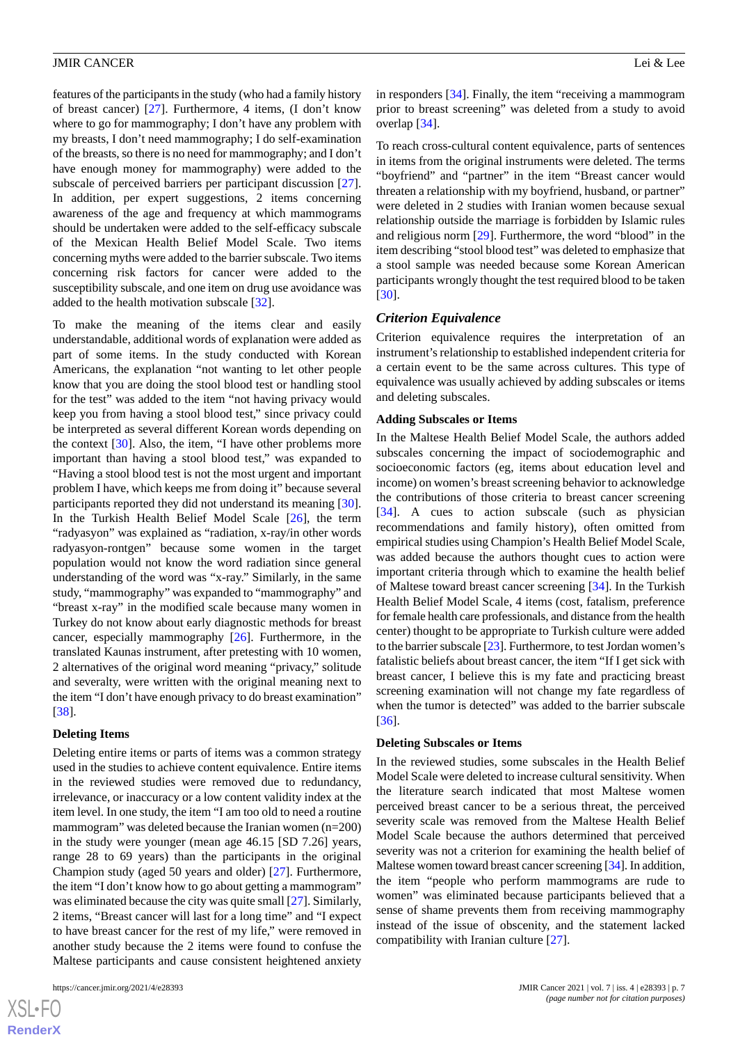features of the participants in the study (who had a family history of breast cancer) [[27\]](#page-10-2). Furthermore, 4 items, (I don't know where to go for mammography; I don't have any problem with my breasts, I don't need mammography; I do self-examination of the breasts, so there is no need for mammography; and I don't have enough money for mammography) were added to the subscale of perceived barriers per participant discussion [[27\]](#page-10-2). In addition, per expert suggestions, 2 items concerning awareness of the age and frequency at which mammograms should be undertaken were added to the self-efficacy subscale of the Mexican Health Belief Model Scale. Two items concerning myths were added to the barrier subscale. Two items concerning risk factors for cancer were added to the susceptibility subscale, and one item on drug use avoidance was added to the health motivation subscale [[32\]](#page-10-6).

To make the meaning of the items clear and easily understandable, additional words of explanation were added as part of some items. In the study conducted with Korean Americans, the explanation "not wanting to let other people know that you are doing the stool blood test or handling stool for the test" was added to the item "not having privacy would keep you from having a stool blood test," since privacy could be interpreted as several different Korean words depending on the context [\[30](#page-10-4)]. Also, the item, "I have other problems more important than having a stool blood test," was expanded to "Having a stool blood test is not the most urgent and important problem I have, which keeps me from doing it" because several participants reported they did not understand its meaning [[30\]](#page-10-4). In the Turkish Health Belief Model Scale [\[26](#page-10-1)], the term "radyasyon" was explained as "radiation, x-ray/in other words radyasyon-rontgen" because some women in the target population would not know the word radiation since general understanding of the word was "x-ray." Similarly, in the same study, "mammography" was expanded to "mammography" and "breast x-ray" in the modified scale because many women in Turkey do not know about early diagnostic methods for breast cancer, especially mammography [[26\]](#page-10-1). Furthermore, in the translated Kaunas instrument, after pretesting with 10 women, 2 alternatives of the original word meaning "privacy," solitude and severalty, were written with the original meaning next to the item "I don't have enough privacy to do breast examination" [[38\]](#page-10-12).

#### **Deleting Items**

Deleting entire items or parts of items was a common strategy used in the studies to achieve content equivalence. Entire items in the reviewed studies were removed due to redundancy, irrelevance, or inaccuracy or a low content validity index at the item level. In one study, the item "I am too old to need a routine mammogram" was deleted because the Iranian women (n=200) in the study were younger (mean age 46.15 [SD 7.26] years, range 28 to 69 years) than the participants in the original Champion study (aged 50 years and older) [\[27](#page-10-2)]. Furthermore, the item "I don't know how to go about getting a mammogram" was eliminated because the city was quite small [[27\]](#page-10-2). Similarly, 2 items, "Breast cancer will last for a long time" and "I expect to have breast cancer for the rest of my life," were removed in another study because the 2 items were found to confuse the Maltese participants and cause consistent heightened anxiety

 $XSI - F($ **[RenderX](http://www.renderx.com/)** in responders [[34\]](#page-10-8). Finally, the item "receiving a mammogram prior to breast screening" was deleted from a study to avoid overlap [\[34](#page-10-8)].

To reach cross-cultural content equivalence, parts of sentences in items from the original instruments were deleted. The terms "boyfriend" and "partner" in the item "Breast cancer would threaten a relationship with my boyfriend, husband, or partner" were deleted in 2 studies with Iranian women because sexual relationship outside the marriage is forbidden by Islamic rules and religious norm [\[29](#page-10-3)]. Furthermore, the word "blood" in the item describing "stool blood test" was deleted to emphasize that a stool sample was needed because some Korean American participants wrongly thought the test required blood to be taken [[30\]](#page-10-4).

#### *Criterion Equivalence*

Criterion equivalence requires the interpretation of an instrument's relationship to established independent criteria for a certain event to be the same across cultures. This type of equivalence was usually achieved by adding subscales or items and deleting subscales.

#### **Adding Subscales or Items**

In the Maltese Health Belief Model Scale, the authors added subscales concerning the impact of sociodemographic and socioeconomic factors (eg, items about education level and income) on women's breast screening behavior to acknowledge the contributions of those criteria to breast cancer screening [[34\]](#page-10-8). A cues to action subscale (such as physician recommendations and family history), often omitted from empirical studies using Champion's Health Belief Model Scale, was added because the authors thought cues to action were important criteria through which to examine the health belief of Maltese toward breast cancer screening [\[34](#page-10-8)]. In the Turkish Health Belief Model Scale, 4 items (cost, fatalism, preference for female health care professionals, and distance from the health center) thought to be appropriate to Turkish culture were added to the barrier subscale [\[23](#page-9-20)]. Furthermore, to test Jordan women's fatalistic beliefs about breast cancer, the item "If I get sick with breast cancer, I believe this is my fate and practicing breast screening examination will not change my fate regardless of when the tumor is detected" was added to the barrier subscale [[36\]](#page-10-10).

#### **Deleting Subscales or Items**

In the reviewed studies, some subscales in the Health Belief Model Scale were deleted to increase cultural sensitivity. When the literature search indicated that most Maltese women perceived breast cancer to be a serious threat, the perceived severity scale was removed from the Maltese Health Belief Model Scale because the authors determined that perceived severity was not a criterion for examining the health belief of Maltese women toward breast cancer screening [\[34\]](#page-10-8). In addition, the item "people who perform mammograms are rude to women" was eliminated because participants believed that a sense of shame prevents them from receiving mammography instead of the issue of obscenity, and the statement lacked compatibility with Iranian culture [\[27](#page-10-2)].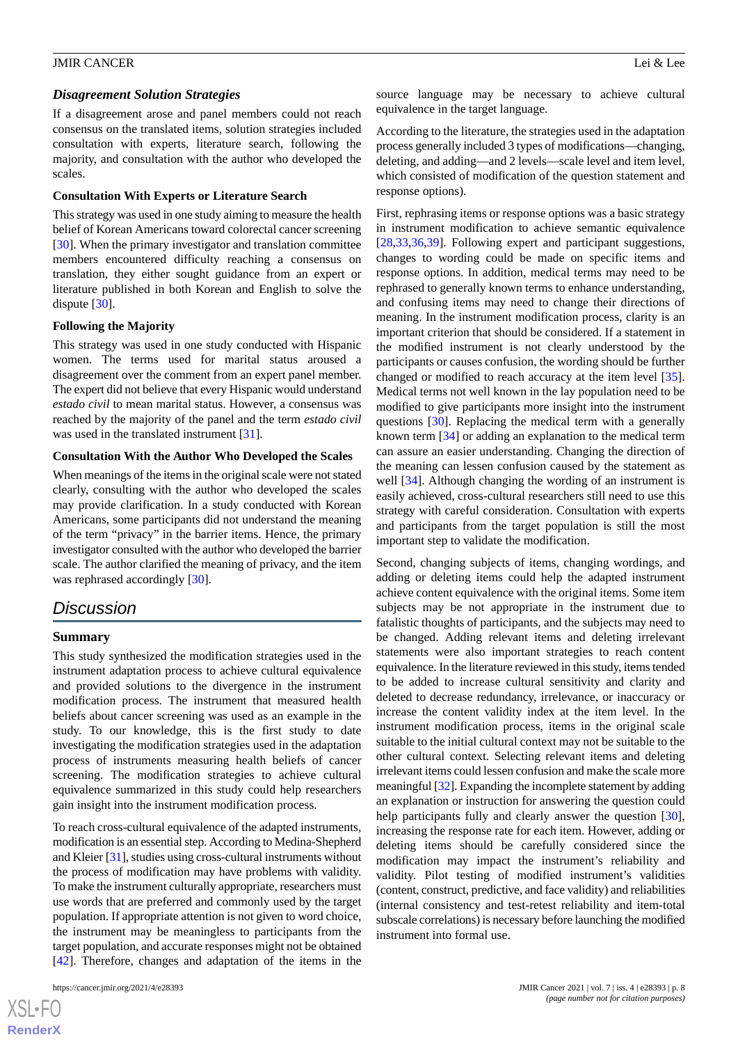#### *Disagreement Solution Strategies*

If a disagreement arose and panel members could not reach consensus on the translated items, solution strategies included consultation with experts, literature search, following the majority, and consultation with the author who developed the scales.

#### **Consultation With Experts or Literature Search**

This strategy was used in one study aiming to measure the health belief of Korean Americans toward colorectal cancer screening [[30\]](#page-10-4). When the primary investigator and translation committee members encountered difficulty reaching a consensus on translation, they either sought guidance from an expert or literature published in both Korean and English to solve the dispute [\[30](#page-10-4)].

#### **Following the Majority**

This strategy was used in one study conducted with Hispanic women. The terms used for marital status aroused a disagreement over the comment from an expert panel member. The expert did not believe that every Hispanic would understand *estado civil* to mean marital status. However, a consensus was reached by the majority of the panel and the term *estado civil* was used in the translated instrument [\[31](#page-10-5)].

#### **Consultation With the Author Who Developed the Scales**

When meanings of the items in the original scale were not stated clearly, consulting with the author who developed the scales may provide clarification. In a study conducted with Korean Americans, some participants did not understand the meaning of the term "privacy" in the barrier items. Hence, the primary investigator consulted with the author who developed the barrier scale. The author clarified the meaning of privacy, and the item was rephrased accordingly [[30\]](#page-10-4).

# *Discussion*

#### **Summary**

This study synthesized the modification strategies used in the instrument adaptation process to achieve cultural equivalence and provided solutions to the divergence in the instrument modification process. The instrument that measured health beliefs about cancer screening was used as an example in the study. To our knowledge, this is the first study to date investigating the modification strategies used in the adaptation process of instruments measuring health beliefs of cancer screening. The modification strategies to achieve cultural equivalence summarized in this study could help researchers gain insight into the instrument modification process.

To reach cross-cultural equivalence of the adapted instruments, modification is an essential step. According to Medina-Shepherd and Kleier [\[31](#page-10-5)], studies using cross-cultural instruments without the process of modification may have problems with validity. To make the instrument culturally appropriate, researchers must use words that are preferred and commonly used by the target population. If appropriate attention is not given to word choice, the instrument may be meaningless to participants from the target population, and accurate responses might not be obtained [[42\]](#page-10-16). Therefore, changes and adaptation of the items in the

 $XS$ -FO **[RenderX](http://www.renderx.com/)** source language may be necessary to achieve cultural equivalence in the target language.

According to the literature, the strategies used in the adaptation process generally included 3 types of modifications—changing, deleting, and adding—and 2 levels—scale level and item level, which consisted of modification of the question statement and response options).

First, rephrasing items or response options was a basic strategy in instrument modification to achieve semantic equivalence [[28,](#page-10-13)[33,](#page-10-7)[36](#page-10-10)[,39](#page-10-0)]. Following expert and participant suggestions, changes to wording could be made on specific items and response options. In addition, medical terms may need to be rephrased to generally known terms to enhance understanding, and confusing items may need to change their directions of meaning. In the instrument modification process, clarity is an important criterion that should be considered. If a statement in the modified instrument is not clearly understood by the participants or causes confusion, the wording should be further changed or modified to reach accuracy at the item level [[35\]](#page-10-9). Medical terms not well known in the lay population need to be modified to give participants more insight into the instrument questions [\[30](#page-10-4)]. Replacing the medical term with a generally known term [\[34](#page-10-8)] or adding an explanation to the medical term can assure an easier understanding. Changing the direction of the meaning can lessen confusion caused by the statement as well [\[34](#page-10-8)]. Although changing the wording of an instrument is easily achieved, cross-cultural researchers still need to use this strategy with careful consideration. Consultation with experts and participants from the target population is still the most important step to validate the modification.

Second, changing subjects of items, changing wordings, and adding or deleting items could help the adapted instrument achieve content equivalence with the original items. Some item subjects may be not appropriate in the instrument due to fatalistic thoughts of participants, and the subjects may need to be changed. Adding relevant items and deleting irrelevant statements were also important strategies to reach content equivalence. In the literature reviewed in this study, items tended to be added to increase cultural sensitivity and clarity and deleted to decrease redundancy, irrelevance, or inaccuracy or increase the content validity index at the item level. In the instrument modification process, items in the original scale suitable to the initial cultural context may not be suitable to the other cultural context. Selecting relevant items and deleting irrelevant items could lessen confusion and make the scale more meaningful [[32](#page-10-6)]. Expanding the incomplete statement by adding an explanation or instruction for answering the question could help participants fully and clearly answer the question [[30\]](#page-10-4), increasing the response rate for each item. However, adding or deleting items should be carefully considered since the modification may impact the instrument's reliability and validity. Pilot testing of modified instrument's validities (content, construct, predictive, and face validity) and reliabilities (internal consistency and test-retest reliability and item-total subscale correlations) is necessary before launching the modified instrument into formal use.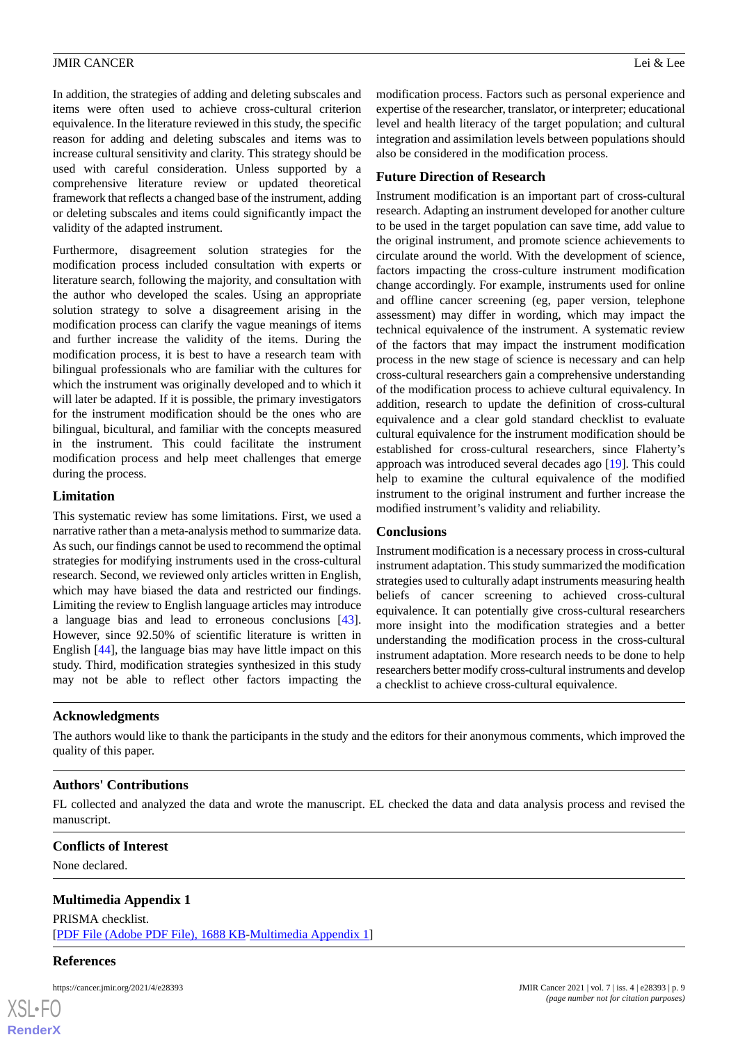In addition, the strategies of adding and deleting subscales and items were often used to achieve cross-cultural criterion equivalence. In the literature reviewed in this study, the specific reason for adding and deleting subscales and items was to increase cultural sensitivity and clarity. This strategy should be used with careful consideration. Unless supported by a comprehensive literature review or updated theoretical framework that reflects a changed base of the instrument, adding or deleting subscales and items could significantly impact the validity of the adapted instrument.

Furthermore, disagreement solution strategies for the modification process included consultation with experts or literature search, following the majority, and consultation with the author who developed the scales. Using an appropriate solution strategy to solve a disagreement arising in the modification process can clarify the vague meanings of items and further increase the validity of the items. During the modification process, it is best to have a research team with bilingual professionals who are familiar with the cultures for which the instrument was originally developed and to which it will later be adapted. If it is possible, the primary investigators for the instrument modification should be the ones who are bilingual, bicultural, and familiar with the concepts measured in the instrument. This could facilitate the instrument modification process and help meet challenges that emerge during the process.

## **Limitation**

This systematic review has some limitations. First, we used a narrative rather than a meta-analysis method to summarize data. As such, our findings cannot be used to recommend the optimal strategies for modifying instruments used in the cross-cultural research. Second, we reviewed only articles written in English, which may have biased the data and restricted our findings. Limiting the review to English language articles may introduce a language bias and lead to erroneous conclusions [[43\]](#page-10-17). However, since 92.50% of scientific literature is written in English [\[44](#page-10-18)], the language bias may have little impact on this study. Third, modification strategies synthesized in this study may not be able to reflect other factors impacting the

modification process. Factors such as personal experience and expertise of the researcher, translator, or interpreter; educational level and health literacy of the target population; and cultural integration and assimilation levels between populations should also be considered in the modification process.

# **Future Direction of Research**

Instrument modification is an important part of cross-cultural research. Adapting an instrument developed for another culture to be used in the target population can save time, add value to the original instrument, and promote science achievements to circulate around the world. With the development of science, factors impacting the cross-culture instrument modification change accordingly. For example, instruments used for online and offline cancer screening (eg, paper version, telephone assessment) may differ in wording, which may impact the technical equivalence of the instrument. A systematic review of the factors that may impact the instrument modification process in the new stage of science is necessary and can help cross-cultural researchers gain a comprehensive understanding of the modification process to achieve cultural equivalency. In addition, research to update the definition of cross-cultural equivalence and a clear gold standard checklist to evaluate cultural equivalence for the instrument modification should be established for cross-cultural researchers, since Flaherty's approach was introduced several decades ago [[19\]](#page-9-15). This could help to examine the cultural equivalence of the modified instrument to the original instrument and further increase the modified instrument's validity and reliability.

# **Conclusions**

Instrument modification is a necessary process in cross-cultural instrument adaptation. This study summarized the modification strategies used to culturally adapt instruments measuring health beliefs of cancer screening to achieved cross-cultural equivalence. It can potentially give cross-cultural researchers more insight into the modification strategies and a better understanding the modification process in the cross-cultural instrument adaptation. More research needs to be done to help researchers better modify cross-cultural instruments and develop a checklist to achieve cross-cultural equivalence.

# **Acknowledgments**

The authors would like to thank the participants in the study and the editors for their anonymous comments, which improved the quality of this paper.

# **Authors' Contributions**

<span id="page-8-0"></span>FL collected and analyzed the data and wrote the manuscript. EL checked the data and data analysis process and revised the manuscript.

# **Conflicts of Interest**

None declared.

# **Multimedia Appendix 1**

PRISMA checklist. [[PDF File \(Adobe PDF File\), 1688 KB](https://jmir.org/api/download?alt_name=cancer_v7i4e28393_app1.pdf&filename=b01f6a9eab1421bd76f8add6fc834e30.pdf)-[Multimedia Appendix 1\]](https://jmir.org/api/download?alt_name=cancer_v7i4e28393_app1.pdf&filename=b01f6a9eab1421bd76f8add6fc834e30.pdf)

#### **References**

 $XS$  $\cdot$ FC **[RenderX](http://www.renderx.com/)**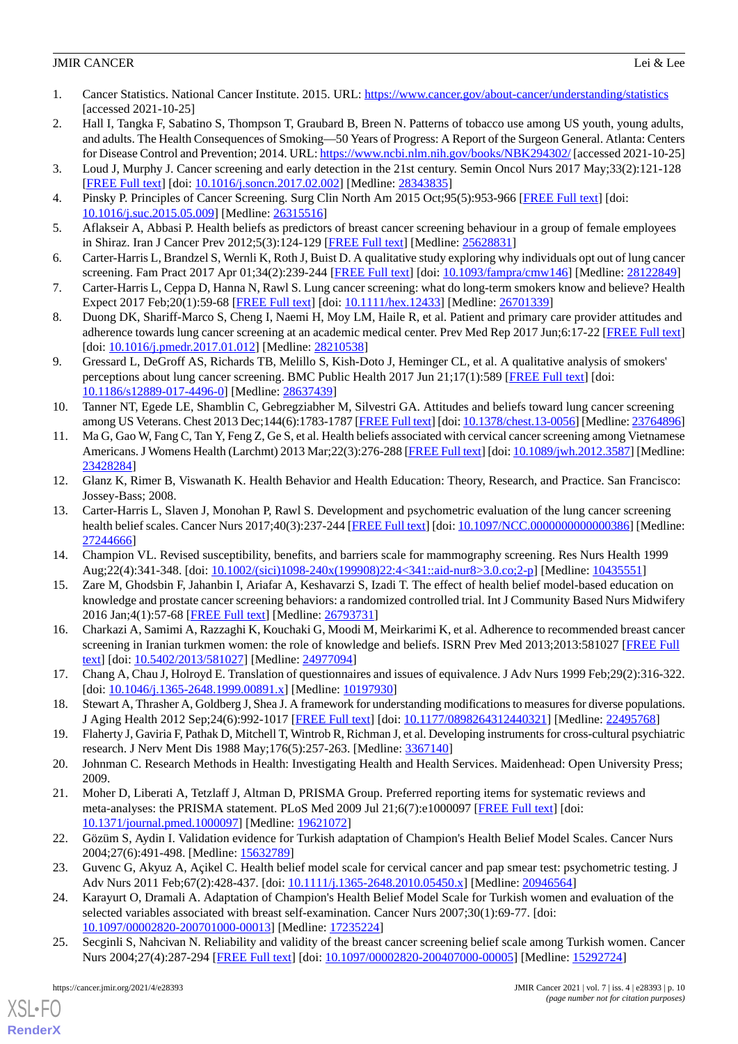- <span id="page-9-0"></span>1. Cancer Statistics. National Cancer Institute. 2015. URL:<https://www.cancer.gov/about-cancer/understanding/statistics> [accessed 2021-10-25]
- <span id="page-9-1"></span>2. Hall I, Tangka F, Sabatino S, Thompson T, Graubard B, Breen N. Patterns of tobacco use among US youth, young adults, and adults. The Health Consequences of Smoking—50 Years of Progress: A Report of the Surgeon General. Atlanta: Centers for Disease Control and Prevention; 2014. URL:<https://www.ncbi.nlm.nih.gov/books/NBK294302/> [accessed 2021-10-25]
- <span id="page-9-3"></span><span id="page-9-2"></span>3. Loud J, Murphy J. Cancer screening and early detection in the 21st century. Semin Oncol Nurs 2017 May;33(2):121-128 [[FREE Full text](http://europepmc.org/abstract/MED/28343835)] [doi: [10.1016/j.soncn.2017.02.002\]](http://dx.doi.org/10.1016/j.soncn.2017.02.002) [Medline: [28343835\]](http://www.ncbi.nlm.nih.gov/entrez/query.fcgi?cmd=Retrieve&db=PubMed&list_uids=28343835&dopt=Abstract)
- <span id="page-9-4"></span>4. Pinsky P. Principles of Cancer Screening. Surg Clin North Am 2015 Oct;95(5):953-966 [\[FREE Full text\]](http://europepmc.org/abstract/MED/26315516) [doi: [10.1016/j.suc.2015.05.009\]](http://dx.doi.org/10.1016/j.suc.2015.05.009) [Medline: [26315516\]](http://www.ncbi.nlm.nih.gov/entrez/query.fcgi?cmd=Retrieve&db=PubMed&list_uids=26315516&dopt=Abstract)
- <span id="page-9-5"></span>5. Aflakseir A, Abbasi P. Health beliefs as predictors of breast cancer screening behaviour in a group of female employees in Shiraz. Iran J Cancer Prev 2012;5(3):124-129 [\[FREE Full text\]](http://europepmc.org/abstract/MED/25628831) [Medline: [25628831](http://www.ncbi.nlm.nih.gov/entrez/query.fcgi?cmd=Retrieve&db=PubMed&list_uids=25628831&dopt=Abstract)]
- 6. Carter-Harris L, Brandzel S, Wernli K, Roth J, Buist D. A qualitative study exploring why individuals opt out of lung cancer screening. Fam Pract 2017 Apr 01;34(2):239-244 [[FREE Full text](http://europepmc.org/abstract/MED/28122849)] [doi: [10.1093/fampra/cmw146](http://dx.doi.org/10.1093/fampra/cmw146)] [Medline: [28122849](http://www.ncbi.nlm.nih.gov/entrez/query.fcgi?cmd=Retrieve&db=PubMed&list_uids=28122849&dopt=Abstract)]
- 7. Carter-Harris L, Ceppa D, Hanna N, Rawl S. Lung cancer screening: what do long-term smokers know and believe? Health Expect 2017 Feb;20(1):59-68 [[FREE Full text](https://doi.org/10.1111/hex.12433)] [doi: [10.1111/hex.12433](http://dx.doi.org/10.1111/hex.12433)] [Medline: [26701339](http://www.ncbi.nlm.nih.gov/entrez/query.fcgi?cmd=Retrieve&db=PubMed&list_uids=26701339&dopt=Abstract)]
- 8. Duong DK, Shariff-Marco S, Cheng I, Naemi H, Moy LM, Haile R, et al. Patient and primary care provider attitudes and adherence towards lung cancer screening at an academic medical center. Prev Med Rep 2017 Jun;6:17-22 [[FREE Full text](https://linkinghub.elsevier.com/retrieve/pii/S2211-3355(17)30013-X)] [doi: [10.1016/j.pmedr.2017.01.012\]](http://dx.doi.org/10.1016/j.pmedr.2017.01.012) [Medline: [28210538\]](http://www.ncbi.nlm.nih.gov/entrez/query.fcgi?cmd=Retrieve&db=PubMed&list_uids=28210538&dopt=Abstract)
- <span id="page-9-6"></span>9. Gressard L, DeGroff AS, Richards TB, Melillo S, Kish-Doto J, Heminger CL, et al. A qualitative analysis of smokers' perceptions about lung cancer screening. BMC Public Health 2017 Jun 21;17(1):589 [[FREE Full text](https://bmcpublichealth.biomedcentral.com/articles/10.1186/s12889-017-4496-0)] [doi: [10.1186/s12889-017-4496-0\]](http://dx.doi.org/10.1186/s12889-017-4496-0) [Medline: [28637439](http://www.ncbi.nlm.nih.gov/entrez/query.fcgi?cmd=Retrieve&db=PubMed&list_uids=28637439&dopt=Abstract)]
- <span id="page-9-7"></span>10. Tanner NT, Egede LE, Shamblin C, Gebregziabher M, Silvestri GA. Attitudes and beliefs toward lung cancer screening among US Veterans. Chest 2013 Dec;144(6):1783-1787 [[FREE Full text](http://europepmc.org/abstract/MED/23764896)] [doi: [10.1378/chest.13-0056](http://dx.doi.org/10.1378/chest.13-0056)] [Medline: [23764896\]](http://www.ncbi.nlm.nih.gov/entrez/query.fcgi?cmd=Retrieve&db=PubMed&list_uids=23764896&dopt=Abstract)
- <span id="page-9-8"></span>11. Ma G, Gao W, Fang C, Tan Y, Feng Z, Ge S, et al. Health beliefs associated with cervical cancer screening among Vietnamese Americans. J Womens Health (Larchmt) 2013 Mar;22(3):276-288 [[FREE Full text](http://europepmc.org/abstract/MED/23428284)] [doi: [10.1089/jwh.2012.3587](http://dx.doi.org/10.1089/jwh.2012.3587)] [Medline: [23428284](http://www.ncbi.nlm.nih.gov/entrez/query.fcgi?cmd=Retrieve&db=PubMed&list_uids=23428284&dopt=Abstract)]
- <span id="page-9-9"></span>12. Glanz K, Rimer B, Viswanath K. Health Behavior and Health Education: Theory, Research, and Practice. San Francisco: Jossey-Bass; 2008.
- <span id="page-9-11"></span><span id="page-9-10"></span>13. Carter-Harris L, Slaven J, Monohan P, Rawl S. Development and psychometric evaluation of the lung cancer screening health belief scales. Cancer Nurs 2017;40(3):237-244 [[FREE Full text](http://europepmc.org/abstract/MED/27244666)] [doi: [10.1097/NCC.0000000000000386\]](http://dx.doi.org/10.1097/NCC.0000000000000386) [Medline: [27244666](http://www.ncbi.nlm.nih.gov/entrez/query.fcgi?cmd=Retrieve&db=PubMed&list_uids=27244666&dopt=Abstract)]
- <span id="page-9-12"></span>14. Champion VL. Revised susceptibility, benefits, and barriers scale for mammography screening. Res Nurs Health 1999 Aug;22(4):341-348. [doi: [10.1002/\(sici\)1098-240x\(199908\)22:4<341::aid-nur8>3.0.co;2-p](http://dx.doi.org/10.1002/(sici)1098-240x(199908)22:4<341::aid-nur8>3.0.co;2-p)] [Medline: [10435551](http://www.ncbi.nlm.nih.gov/entrez/query.fcgi?cmd=Retrieve&db=PubMed&list_uids=10435551&dopt=Abstract)]
- 15. Zare M, Ghodsbin F, Jahanbin I, Ariafar A, Keshavarzi S, Izadi T. The effect of health belief model-based education on knowledge and prostate cancer screening behaviors: a randomized controlled trial. Int J Community Based Nurs Midwifery 2016 Jan;4(1):57-68 [[FREE Full text](http://europepmc.org/abstract/MED/26793731)] [Medline: [26793731\]](http://www.ncbi.nlm.nih.gov/entrez/query.fcgi?cmd=Retrieve&db=PubMed&list_uids=26793731&dopt=Abstract)
- <span id="page-9-14"></span><span id="page-9-13"></span>16. Charkazi A, Samimi A, Razzaghi K, Kouchaki G, Moodi M, Meirkarimi K, et al. Adherence to recommended breast cancer screening in Iranian turkmen women: the role of knowledge and beliefs. ISRN Prev Med 2013;2013:581027 [\[FREE Full](http://europepmc.org/abstract/MED/24977094) [text](http://europepmc.org/abstract/MED/24977094)] [doi: [10.5402/2013/581027\]](http://dx.doi.org/10.5402/2013/581027) [Medline: [24977094](http://www.ncbi.nlm.nih.gov/entrez/query.fcgi?cmd=Retrieve&db=PubMed&list_uids=24977094&dopt=Abstract)]
- <span id="page-9-16"></span><span id="page-9-15"></span>17. Chang A, Chau J, Holroyd E. Translation of questionnaires and issues of equivalence. J Adv Nurs 1999 Feb;29(2):316-322. [doi: [10.1046/j.1365-2648.1999.00891.x](http://dx.doi.org/10.1046/j.1365-2648.1999.00891.x)] [Medline: [10197930](http://www.ncbi.nlm.nih.gov/entrez/query.fcgi?cmd=Retrieve&db=PubMed&list_uids=10197930&dopt=Abstract)]
- <span id="page-9-17"></span>18. Stewart A, Thrasher A, Goldberg J, Shea J. A framework for understanding modifications to measures for diverse populations. J Aging Health 2012 Sep;24(6):992-1017 [\[FREE Full text\]](http://europepmc.org/abstract/MED/22495768) [doi: [10.1177/0898264312440321](http://dx.doi.org/10.1177/0898264312440321)] [Medline: [22495768](http://www.ncbi.nlm.nih.gov/entrez/query.fcgi?cmd=Retrieve&db=PubMed&list_uids=22495768&dopt=Abstract)]
- 19. Flaherty J, Gaviria F, Pathak D, Mitchell T, Wintrob R, Richman J, et al. Developing instruments for cross-cultural psychiatric research. J Nerv Ment Dis 1988 May;176(5):257-263. [Medline: [3367140](http://www.ncbi.nlm.nih.gov/entrez/query.fcgi?cmd=Retrieve&db=PubMed&list_uids=3367140&dopt=Abstract)]
- <span id="page-9-18"></span>20. Johnman C. Research Methods in Health: Investigating Health and Health Services. Maidenhead: Open University Press; 2009.
- <span id="page-9-21"></span><span id="page-9-20"></span>21. Moher D, Liberati A, Tetzlaff J, Altman D, PRISMA Group. Preferred reporting items for systematic reviews and meta-analyses: the PRISMA statement. PLoS Med 2009 Jul 21;6(7):e1000097 [[FREE Full text](https://dx.plos.org/10.1371/journal.pmed.1000097)] [doi: [10.1371/journal.pmed.1000097](http://dx.doi.org/10.1371/journal.pmed.1000097)] [Medline: [19621072](http://www.ncbi.nlm.nih.gov/entrez/query.fcgi?cmd=Retrieve&db=PubMed&list_uids=19621072&dopt=Abstract)]
- <span id="page-9-19"></span>22. Gözüm S, Aydin I. Validation evidence for Turkish adaptation of Champion's Health Belief Model Scales. Cancer Nurs 2004;27(6):491-498. [Medline: [15632789](http://www.ncbi.nlm.nih.gov/entrez/query.fcgi?cmd=Retrieve&db=PubMed&list_uids=15632789&dopt=Abstract)]
- 23. Guvenc G, Akyuz A, Açikel C. Health belief model scale for cervical cancer and pap smear test: psychometric testing. J Adv Nurs 2011 Feb; 67(2): 428-437. [doi: [10.1111/j.1365-2648.2010.05450.x](http://dx.doi.org/10.1111/j.1365-2648.2010.05450.x)] [Medline: [20946564\]](http://www.ncbi.nlm.nih.gov/entrez/query.fcgi?cmd=Retrieve&db=PubMed&list_uids=20946564&dopt=Abstract)
- 24. Karayurt O, Dramali A. Adaptation of Champion's Health Belief Model Scale for Turkish women and evaluation of the selected variables associated with breast self-examination. Cancer Nurs 2007;30(1):69-77. [doi: [10.1097/00002820-200701000-00013](http://dx.doi.org/10.1097/00002820-200701000-00013)] [Medline: [17235224](http://www.ncbi.nlm.nih.gov/entrez/query.fcgi?cmd=Retrieve&db=PubMed&list_uids=17235224&dopt=Abstract)]
- 25. Secginli S, Nahcivan N. Reliability and validity of the breast cancer screening belief scale among Turkish women. Cancer Nurs 2004;27(4):287-294 [[FREE Full text](https://doi.org/10.1097/00002820-200407000-00005)] [doi: [10.1097/00002820-200407000-00005](http://dx.doi.org/10.1097/00002820-200407000-00005)] [Medline: [15292724](http://www.ncbi.nlm.nih.gov/entrez/query.fcgi?cmd=Retrieve&db=PubMed&list_uids=15292724&dopt=Abstract)]

[XSL](http://www.w3.org/Style/XSL)•FO **[RenderX](http://www.renderx.com/)**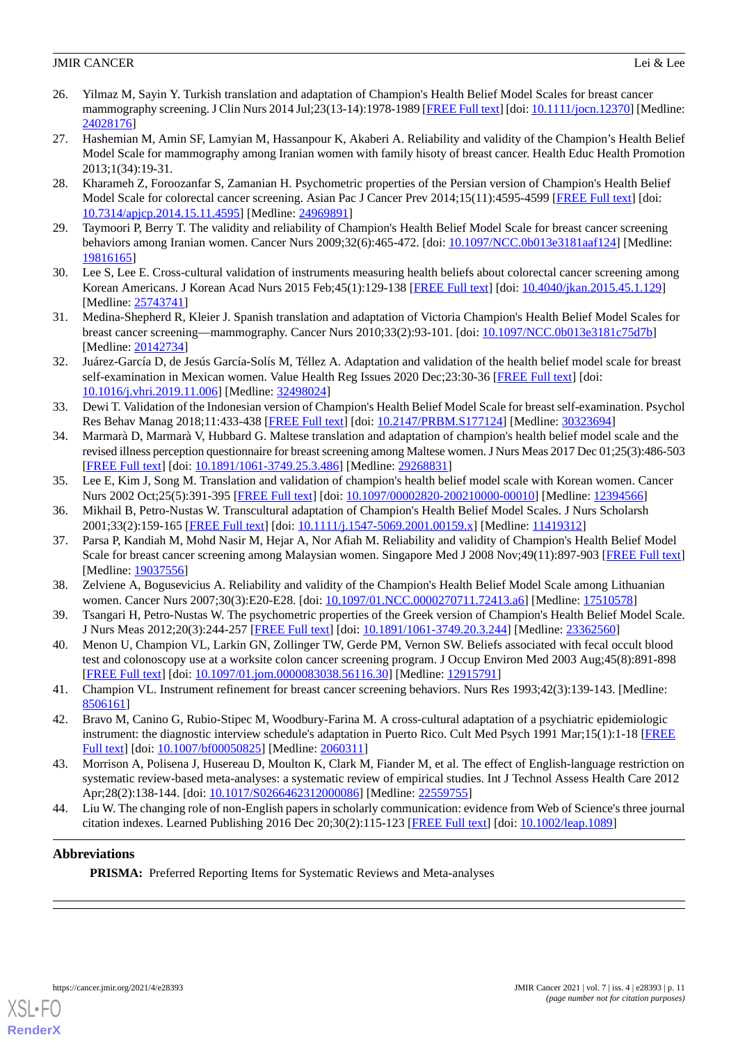- <span id="page-10-1"></span>26. Yilmaz M, Sayin Y. Turkish translation and adaptation of Champion's Health Belief Model Scales for breast cancer mammography screening. J Clin Nurs 2014 Jul;23(13-14):1978-1989 [\[FREE Full text\]](https://doi.org/10.1111/jocn.12370) [doi: [10.1111/jocn.12370](http://dx.doi.org/10.1111/jocn.12370)] [Medline: [24028176](http://www.ncbi.nlm.nih.gov/entrez/query.fcgi?cmd=Retrieve&db=PubMed&list_uids=24028176&dopt=Abstract)]
- <span id="page-10-2"></span>27. Hashemian M, Amin SF, Lamyian M, Hassanpour K, Akaberi A. Reliability and validity of the Champion's Health Belief Model Scale for mammography among Iranian women with family hisoty of breast cancer. Health Educ Health Promotion 2013;1(34):19-31.
- <span id="page-10-13"></span>28. Kharameh Z, Foroozanfar S, Zamanian H. Psychometric properties of the Persian version of Champion's Health Belief Model Scale for colorectal cancer screening. Asian Pac J Cancer Prev 2014;15(11):4595-4599 [\[FREE Full text\]](http://journal.waocp.org/?sid=Entrez:PubMed&id=pmid:24969891&key=2014.15.11.4595) [doi: [10.7314/apjcp.2014.15.11.4595\]](http://dx.doi.org/10.7314/apjcp.2014.15.11.4595) [Medline: [24969891](http://www.ncbi.nlm.nih.gov/entrez/query.fcgi?cmd=Retrieve&db=PubMed&list_uids=24969891&dopt=Abstract)]
- <span id="page-10-4"></span><span id="page-10-3"></span>29. Taymoori P, Berry T. The validity and reliability of Champion's Health Belief Model Scale for breast cancer screening behaviors among Iranian women. Cancer Nurs 2009;32(6):465-472. [doi: [10.1097/NCC.0b013e3181aaf124](http://dx.doi.org/10.1097/NCC.0b013e3181aaf124)] [Medline: [19816165](http://www.ncbi.nlm.nih.gov/entrez/query.fcgi?cmd=Retrieve&db=PubMed&list_uids=19816165&dopt=Abstract)]
- <span id="page-10-5"></span>30. Lee S, Lee E. Cross-cultural validation of instruments measuring health beliefs about colorectal cancer screening among Korean Americans. J Korean Acad Nurs 2015 Feb;45(1):129-138 [[FREE Full text](https://doi.org/10.4040/jkan.2015.45.1.129)] [doi: [10.4040/jkan.2015.45.1.129\]](http://dx.doi.org/10.4040/jkan.2015.45.1.129) [Medline: [25743741](http://www.ncbi.nlm.nih.gov/entrez/query.fcgi?cmd=Retrieve&db=PubMed&list_uids=25743741&dopt=Abstract)]
- <span id="page-10-6"></span>31. Medina-Shepherd R, Kleier J. Spanish translation and adaptation of Victoria Champion's Health Belief Model Scales for breast cancer screening—mammography. Cancer Nurs 2010;33(2):93-101. [doi: [10.1097/NCC.0b013e3181c75d7b\]](http://dx.doi.org/10.1097/NCC.0b013e3181c75d7b) [Medline: [20142734](http://www.ncbi.nlm.nih.gov/entrez/query.fcgi?cmd=Retrieve&db=PubMed&list_uids=20142734&dopt=Abstract)]
- <span id="page-10-7"></span>32. Juárez-García D, de Jesús García-Solís M, Téllez A. Adaptation and validation of the health belief model scale for breast self-examination in Mexican women. Value Health Reg Issues 2020 Dec;23:30-36 [\[FREE Full text\]](https://doi.org/10.1016/j.vhri.2019.11.006) [doi: [10.1016/j.vhri.2019.11.006\]](http://dx.doi.org/10.1016/j.vhri.2019.11.006) [Medline: [32498024\]](http://www.ncbi.nlm.nih.gov/entrez/query.fcgi?cmd=Retrieve&db=PubMed&list_uids=32498024&dopt=Abstract)
- <span id="page-10-8"></span>33. Dewi T. Validation of the Indonesian version of Champion's Health Belief Model Scale for breast self-examination. Psychol Res Behav Manag 2018;11:433-438 [[FREE Full text](https://dx.doi.org/10.2147/PRBM.S177124)] [doi: [10.2147/PRBM.S177124\]](http://dx.doi.org/10.2147/PRBM.S177124) [Medline: [30323694](http://www.ncbi.nlm.nih.gov/entrez/query.fcgi?cmd=Retrieve&db=PubMed&list_uids=30323694&dopt=Abstract)]
- <span id="page-10-9"></span>34. Marmarà D, Marmarà V, Hubbard G. Maltese translation and adaptation of champion's health belief model scale and the revised illness perception questionnaire for breast screening among Maltese women. J Nurs Meas 2017 Dec 01;25(3):486-503 [[FREE Full text](https://doi.org/10.1891/1061-3749.25.3.486)] [doi: [10.1891/1061-3749.25.3.486\]](http://dx.doi.org/10.1891/1061-3749.25.3.486) [Medline: [29268831](http://www.ncbi.nlm.nih.gov/entrez/query.fcgi?cmd=Retrieve&db=PubMed&list_uids=29268831&dopt=Abstract)]
- <span id="page-10-11"></span><span id="page-10-10"></span>35. Lee E, Kim J, Song M. Translation and validation of champion's health belief model scale with Korean women. Cancer Nurs 2002 Oct;25(5):391-395 [[FREE Full text](https://doi.org/10.1097/00002820-200210000-00010)] [doi: [10.1097/00002820-200210000-00010](http://dx.doi.org/10.1097/00002820-200210000-00010)] [Medline: [12394566](http://www.ncbi.nlm.nih.gov/entrez/query.fcgi?cmd=Retrieve&db=PubMed&list_uids=12394566&dopt=Abstract)]
- 36. Mikhail B, Petro-Nustas W. Transcultural adaptation of Champion's Health Belief Model Scales. J Nurs Scholarsh 2001;33(2):159-165 [[FREE Full text](https://sigmapubs.onlinelibrary.wiley.com/doi/abs/10.1111/j.1547-5069.2001.00159.x?sid=nlm%3Apubmed)] [doi: [10.1111/j.1547-5069.2001.00159.x\]](http://dx.doi.org/10.1111/j.1547-5069.2001.00159.x) [Medline: [11419312\]](http://www.ncbi.nlm.nih.gov/entrez/query.fcgi?cmd=Retrieve&db=PubMed&list_uids=11419312&dopt=Abstract)
- <span id="page-10-12"></span><span id="page-10-0"></span>37. Parsa P, Kandiah M, Mohd Nasir M, Hejar A, Nor Afiah M. Reliability and validity of Champion's Health Belief Model Scale for breast cancer screening among Malaysian women. Singapore Med J 2008 Nov;49(11):897-903 [\[FREE Full text](http://smj.sma.org.sg/4911/4911a7.pdf)] [Medline: [19037556](http://www.ncbi.nlm.nih.gov/entrez/query.fcgi?cmd=Retrieve&db=PubMed&list_uids=19037556&dopt=Abstract)]
- <span id="page-10-14"></span>38. Zelviene A, Bogusevicius A. Reliability and validity of the Champion's Health Belief Model Scale among Lithuanian women. Cancer Nurs 2007;30(3):E20-E28. [doi: [10.1097/01.NCC.0000270711.72413.a6](http://dx.doi.org/10.1097/01.NCC.0000270711.72413.a6)] [Medline: [17510578\]](http://www.ncbi.nlm.nih.gov/entrez/query.fcgi?cmd=Retrieve&db=PubMed&list_uids=17510578&dopt=Abstract)
- <span id="page-10-15"></span>39. Tsangari H, Petro-Nustas W. The psychometric properties of the Greek version of Champion's Health Belief Model Scale. J Nurs Meas 2012;20(3):244-257 [\[FREE Full text\]](https://doi.org/10.1891/1061-3749.20.3.244) [doi: [10.1891/1061-3749.20.3.244](http://dx.doi.org/10.1891/1061-3749.20.3.244)] [Medline: [23362560\]](http://www.ncbi.nlm.nih.gov/entrez/query.fcgi?cmd=Retrieve&db=PubMed&list_uids=23362560&dopt=Abstract)
- <span id="page-10-16"></span>40. Menon U, Champion VL, Larkin GN, Zollinger TW, Gerde PM, Vernon SW. Beliefs associated with fecal occult blood test and colonoscopy use at a worksite colon cancer screening program. J Occup Environ Med 2003 Aug;45(8):891-898 [[FREE Full text](https://europepmc.org/backend/ptpmcrender.fcgi?accid=PMC3042891&blobtype=pdf)] [doi: [10.1097/01.jom.0000083038.56116.30](http://dx.doi.org/10.1097/01.jom.0000083038.56116.30)] [Medline: [12915791](http://www.ncbi.nlm.nih.gov/entrez/query.fcgi?cmd=Retrieve&db=PubMed&list_uids=12915791&dopt=Abstract)]
- <span id="page-10-17"></span>41. Champion VL. Instrument refinement for breast cancer screening behaviors. Nurs Res 1993;42(3):139-143. [Medline: [8506161\]](http://www.ncbi.nlm.nih.gov/entrez/query.fcgi?cmd=Retrieve&db=PubMed&list_uids=8506161&dopt=Abstract)
- <span id="page-10-18"></span>42. Bravo M, Canino G, Rubio-Stipec M, Woodbury-Farina M. A cross-cultural adaptation of a psychiatric epidemiologic instrument: the diagnostic interview schedule's adaptation in Puerto Rico. Cult Med Psych 1991 Mar;15(1):1-18 [\[FREE](https://doi.org/10.1007/BF00050825) [Full text\]](https://doi.org/10.1007/BF00050825) [doi: [10.1007/bf00050825\]](http://dx.doi.org/10.1007/bf00050825) [Medline: [2060311\]](http://www.ncbi.nlm.nih.gov/entrez/query.fcgi?cmd=Retrieve&db=PubMed&list_uids=2060311&dopt=Abstract)
- 43. Morrison A, Polisena J, Husereau D, Moulton K, Clark M, Fiander M, et al. The effect of English-language restriction on systematic review-based meta-analyses: a systematic review of empirical studies. Int J Technol Assess Health Care 2012 Apr;28(2):138-144. [doi: [10.1017/S0266462312000086\]](http://dx.doi.org/10.1017/S0266462312000086) [Medline: [22559755\]](http://www.ncbi.nlm.nih.gov/entrez/query.fcgi?cmd=Retrieve&db=PubMed&list_uids=22559755&dopt=Abstract)
- 44. Liu W. The changing role of non-English papers in scholarly communication: evidence from Web of Science's three journal citation indexes. Learned Publishing 2016 Dec 20;30(2):115-123 [\[FREE Full text\]](https://doi.org/10.1002/leap.1089) [doi: [10.1002/leap.1089](http://dx.doi.org/10.1002/leap.1089)]

# **Abbreviations**

**PRISMA:** Preferred Reporting Items for Systematic Reviews and Meta-analyses